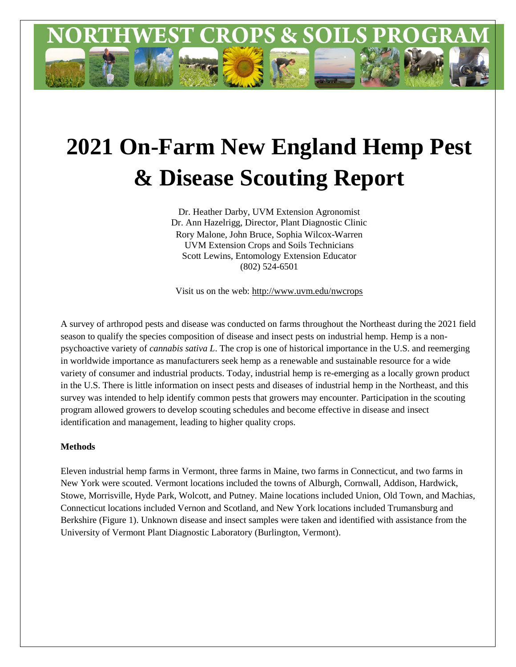

# **2021 On-Farm New England Hemp Pest & Disease Scouting Report**

Dr. Heather Darby, UVM Extension Agronomist Dr. Ann Hazelrigg, Director, Plant Diagnostic Clinic Rory Malone, John Bruce, Sophia Wilcox-Warren UVM Extension Crops and Soils Technicians Scott Lewins, Entomology Extension Educator (802) 524-6501

Visit us on the web: http://www.uvm.edu/nwcrops

A survey of arthropod pests and disease was conducted on farms throughout the Northeast during the 2021 field season to qualify the species composition of disease and insect pests on industrial hemp. Hemp is a nonpsychoactive variety of *cannabis sativa L*. The crop is one of historical importance in the U.S. and reemerging in worldwide importance as manufacturers seek hemp as a renewable and sustainable resource for a wide variety of consumer and industrial products. Today, industrial hemp is re-emerging as a locally grown product in the U.S. There is little information on insect pests and diseases of industrial hemp in the Northeast, and this survey was intended to help identify common pests that growers may encounter. Participation in the scouting program allowed growers to develop scouting schedules and become effective in disease and insect identification and management, leading to higher quality crops.

## **Methods**

Eleven industrial hemp farms in Vermont, three farms in Maine, two farms in Connecticut, and two farms in New York were scouted. Vermont locations included the towns of Alburgh, Cornwall, Addison, Hardwick, Stowe, Morrisville, Hyde Park, Wolcott, and Putney. Maine locations included Union, Old Town, and Machias, Connecticut locations included Vernon and Scotland, and New York locations included Trumansburg and Berkshire (Figure 1). Unknown disease and insect samples were taken and identified with assistance from the University of Vermont Plant Diagnostic Laboratory (Burlington, Vermont).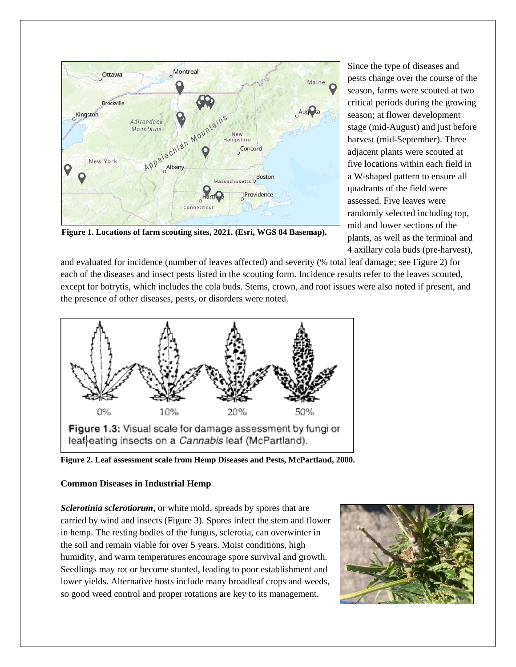

Since the type of diseases and pests change over the course of the season, farms were scouted at two critical periods during the growing season; at flower development stage (mid-August) and just before harvest (mid-September). Three adjacent plants were scouted at five locations within each field in a W-shaped pattern to ensure all quadrants of the field were assessed. Five leaves were randomly selected including top, mid and lower sections of the plants, as well as the terminal and 4 axillary cola buds (pre-harvest),

**Figure 1. Locations of farm scouting sites, 2021. (Esri, WGS 84 Basemap).** 

and evaluated for incidence (number of leaves affected) and severity (% total leaf damage; see Figure 2) for each of the diseases and insect pests listed in the scouting form. Incidence results refer to the leaves scouted, except for botrytis, which includes the cola buds. Stems, crown, and root issues were also noted if present, and the presence of other diseases, pests, or disorders were noted.



**Figure 2. Leaf assessment scale from Hemp Diseases and Pests, McPartland, 2000.** 

# **Common Diseases in Industrial Hemp**

*Sclerotinia sclerotiorum***,** or white mold, spreads by spores that are carried by wind and insects (Figure 3). Spores infect the stem and flower in hemp. The resting bodies of the fungus, sclerotia, can overwinter in the soil and remain viable for over 5 years. Moist conditions, high humidity, and warm temperatures encourage spore survival and growth. Seedlings may rot or become stunted, leading to poor establishment and lower yields. Alternative hosts include many broadleaf crops and weeds, so good weed control and proper rotations are key to its management.

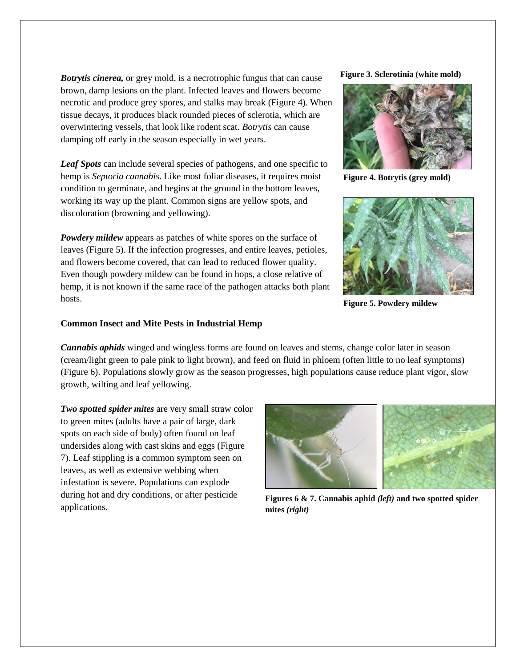*Botrytis cinerea,* or grey mold, is a necrotrophic fungus that can cause brown, damp lesions on the plant. Infected leaves and flowers become necrotic and produce grey spores, and stalks may break (Figure 4). When tissue decays, it produces black rounded pieces of sclerotia, which are overwintering vessels, that look like rodent scat. *Botrytis* can cause damping off early in the season especially in wet years.

*Leaf Spots* can include several species of pathogens, and one specific to hemp is *Septoria cannabis*. Like most foliar diseases, it requires moist condition to germinate, and begins at the ground in the bottom leaves, working its way up the plant. Common signs are yellow spots, and discoloration (browning and yellowing).

*Powdery mildew* appears as patches of white spores on the surface of leaves (Figure 5). If the infection progresses, and entire leaves, petioles, and flowers become covered, that can lead to reduced flower quality. Even though powdery mildew can be found in hops, a close relative of hemp, it is not known if the same race of the pathogen attacks both plant hosts.

### **Figure 3. Sclerotinia (white mold)**



**Figure 4. Botrytis (grey mold)**



**Figure 5. Powdery mildew**

## **Common Insect and Mite Pests in Industrial Hemp**

*Cannabis aphids* winged and wingless forms are found on leaves and stems, change color later in season (cream/light green to pale pink to light brown), and feed on fluid in phloem (often little to no leaf symptoms) (Figure 6). Populations slowly grow as the season progresses, high populations cause reduce plant vigor, slow growth, wilting and leaf yellowing.

*Two spotted spider mites* are very small straw color to green mites (adults have a pair of large, dark spots on each side of body) often found on leaf undersides along with cast skins and eggs (Figure 7). Leaf stippling is a common symptom seen on leaves, as well as extensive webbing when infestation is severe. Populations can explode during hot and dry conditions, or after pesticide applications.



**Figures 6 & 7. Cannabis aphid** *(left)* **and two spotted spider mites** *(right)*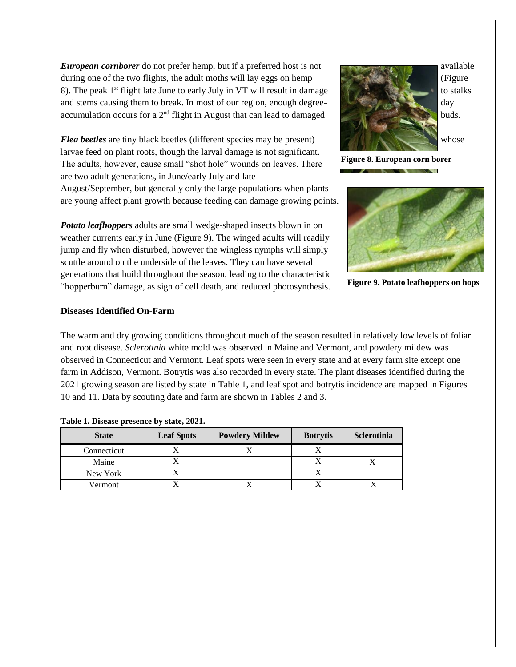*European cornborer* do not prefer hemp, but if a preferred host is not during one of the two flights, the adult moths will lay eggs on hemp (Figure 8). The peak  $1<sup>st</sup>$  flight late June to early July in VT will result in damage and stems causing them to break. In most of our region, enough degreeaccumulation occurs for a 2<sup>nd</sup> flight in August that can lead to damaged buds.

*Flea beetles* are tiny black beetles (different species may be present) whose larvae feed on plant roots, though the larval damage is not significant. The adults, however, cause small "shot hole" wounds on leaves. There are two adult generations, in June/early July and late August/September, but generally only the large populations when plants are young affect plant growth because feeding can damage growing points.

*Potato leafhoppers* adults are small wedge-shaped insects blown in on weather currents early in June (Figure 9). The winged adults will readily jump and fly when disturbed, however the wingless nymphs will simply scuttle around on the underside of the leaves. They can have several generations that build throughout the season, leading to the characteristic "hopperburn" damage, as sign of cell death, and reduced photosynthesis.



**Figure 8. European corn borer**  $\sim$   $\sim$   $\sim$ 



**Figure 9. Potato leafhoppers on hops**

## **Diseases Identified On-Farm**

The warm and dry growing conditions throughout much of the season resulted in relatively low levels of foliar and root disease. *Sclerotinia* white mold was observed in Maine and Vermont, and powdery mildew was observed in Connecticut and Vermont. Leaf spots were seen in every state and at every farm site except one farm in Addison, Vermont. Botrytis was also recorded in every state. The plant diseases identified during the 2021 growing season are listed by state in Table 1, and leaf spot and botrytis incidence are mapped in Figures 10 and 11. Data by scouting date and farm are shown in Tables 2 and 3.

| <b>State</b> | <b>Leaf Spots</b> | <b>Powdery Mildew</b> | <b>Botrytis</b> | Sclerotinia |
|--------------|-------------------|-----------------------|-----------------|-------------|
| Connecticut  |                   |                       |                 |             |
| Maine        |                   |                       |                 |             |
| New York     |                   |                       |                 |             |
| Vermont      |                   |                       |                 |             |

#### **Table 1. Disease presence by state, 2021.**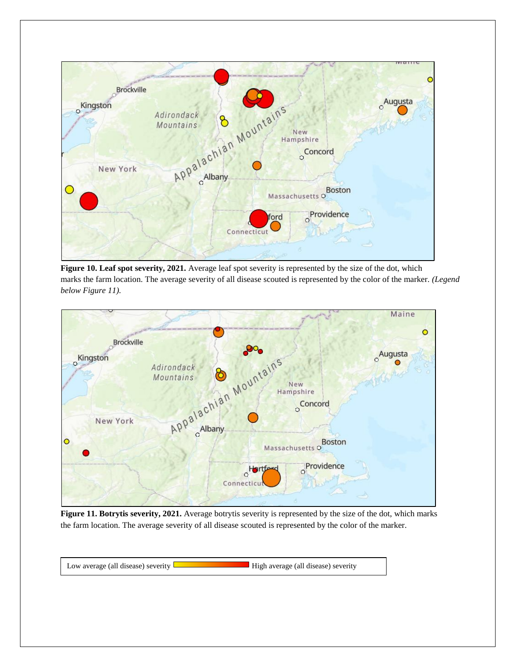

**Figure 10. Leaf spot severity, 2021.** Average leaf spot severity is represented by the size of the dot, which marks the farm location. The average severity of all disease scouted is represented by the color of the marker. *(Legend below Figure 11).* 



**Figure 11. Botrytis severity, 2021.** Average botrytis severity is represented by the size of the dot, which marks the farm location. The average severity of all disease scouted is represented by the color of the marker.

Low average (all disease) severity **Low average (all disease)** severity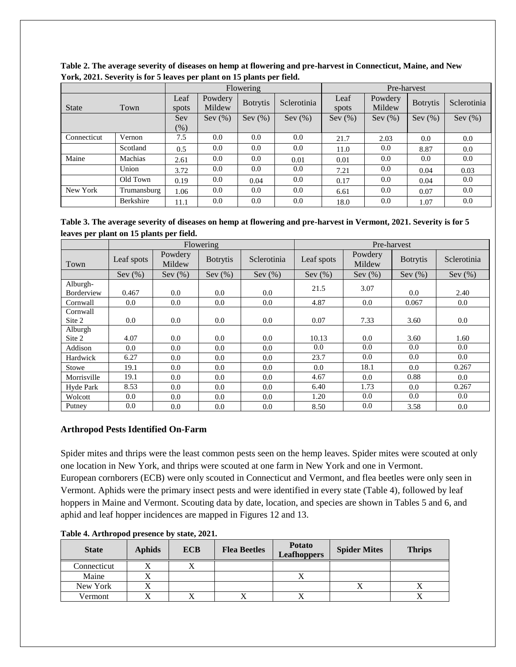|              |                  |               |                   | Flowering       |                  | Pre-harvest   |                   |                 |             |  |  |
|--------------|------------------|---------------|-------------------|-----------------|------------------|---------------|-------------------|-----------------|-------------|--|--|
| <b>State</b> | Town             | Leaf<br>spots | Powdery<br>Mildew | <b>Botrytis</b> | Sclerotinia      | Leaf<br>spots | Powdery<br>Mildew | <b>Botrytis</b> | Sclerotinia |  |  |
|              |                  | Sev           | Sev $(\%)$        | Sev(%)          | Sev $(\%)$       | Sev $(\%)$    | Sev(%)            | Sev(%)          | Sev $(\%)$  |  |  |
|              |                  | $(\%)$        |                   |                 |                  |               |                   |                 |             |  |  |
| Connecticut  | Vernon           | 7.5           | $0.0\,$           | 0.0             | 0.0 <sub>1</sub> | 21.7          | 2.03              | 0.0             | 0.0         |  |  |
|              | Scotland         | 0.5           | 0.0               | 0.0             | 0.0              | 11.0          | 0.0               | 8.87            | 0.0         |  |  |
| Maine        | Machias          | 2.61          | 0.0               | 0.0             | 0.01             | 0.01          | 0.0               | 0.0             | 0.0         |  |  |
|              | Union            | 3.72          | 0.0               | 0.0             | 0.0              | 7.21          | 0.0               | 0.04            | 0.03        |  |  |
|              | Old Town         | 0.19          | 0.0               | 0.04            | 0.0              | 0.17          | 0.0               | 0.04            | 0.0         |  |  |
| New York     | Trumansburg      | 1.06          | 0.0               | 0.0             | 0.0              | 6.61          | 0.0               | 0.07            | 0.0         |  |  |
|              | <b>Berkshire</b> | 11.1          | 0.0               | 0.0             | 0.0              | 18.0          | 0.0               | 1.07            | 0.0         |  |  |

**Table 2. The average severity of diseases on hemp at flowering and pre-harvest in Connecticut, Maine, and New York, 2021. Severity is for 5 leaves per plant on 15 plants per field.** 

**Table 3. The average severity of diseases on hemp at flowering and pre-harvest in Vermont, 2021. Severity is for 5 leaves per plant on 15 plants per field.** 

|                        |            |                   | Flowering       |             | Pre-harvest      |                   |                 |             |  |  |  |
|------------------------|------------|-------------------|-----------------|-------------|------------------|-------------------|-----------------|-------------|--|--|--|
| Town                   | Leaf spots | Powdery<br>Mildew | <b>Botrytis</b> | Sclerotinia | Leaf spots       | Powdery<br>Mildew | <b>Botrytis</b> | Sclerotinia |  |  |  |
|                        | Sev $(\%)$ | Sev $(\%)$        | Sev $(\%)$      | Sev $(\%)$  | Sev $(\%)$       | Sev $(\%)$        | Sev $(\%)$      | Sev $(\%)$  |  |  |  |
| Alburgh-<br>Borderview | 0.467      | 0.0               | 0.0             | 0.0         | 21.5             | 3.07              | 0.0             | 2.40        |  |  |  |
| Cornwall               | 0.0        | 0.0               | 0.0             | 0.0         | 4.87             | $0.0\,$           | 0.067           | 0.0         |  |  |  |
| Cornwall<br>Site 2     | 0.0        | 0.0               | 0.0             | 0.0         | 0.07             | 7.33              | 3.60            | 0.0         |  |  |  |
| Alburgh<br>Site 2      | 4.07       | 0.0               | 0.0             | 0.0         | 10.13            | 0.0               | 3.60            | 1.60        |  |  |  |
| Addison                | 0.0        | 0.0               | 0.0             | 0.0         | 0.0              | 0.0               | 0.0             | 0.0         |  |  |  |
| Hardwick               | 6.27       | 0.0               | 0.0             | 0.0         | 23.7             | $0.0\,$           | 0.0             | 0.0         |  |  |  |
| Stowe                  | 19.1       | 0.0               | 0.0             | 0.0         | 0.0 <sub>1</sub> | 18.1              | 0.0             | 0.267       |  |  |  |
| Morrisville            | 19.1       | 0.0               | 0.0             | 0.0         | 4.67             | 0.0               | 0.88            | 0.0         |  |  |  |
| Hyde Park              | 8.53       | 0.0               | 0.0             | 0.0         | 6.40             | 1.73              | 0.0             | 0.267       |  |  |  |
| Wolcott                | 0.0        | 0.0               | 0.0             | 0.0         | 1.20             | 0.0               | 0.0             | 0.0         |  |  |  |
| Putney                 | 0.0        | 0.0               | 0.0             | 0.0         | 8.50             | 0.0               | 3.58            | 0.0         |  |  |  |

# **Arthropod Pests Identified On-Farm**

Spider mites and thrips were the least common pests seen on the hemp leaves. Spider mites were scouted at only one location in New York, and thrips were scouted at one farm in New York and one in Vermont. European cornborers (ECB) were only scouted in Connecticut and Vermont, and flea beetles were only seen in Vermont. Aphids were the primary insect pests and were identified in every state (Table 4), followed by leaf hoppers in Maine and Vermont. Scouting data by date, location, and species are shown in Tables 5 and 6, and aphid and leaf hopper incidences are mapped in Figures 12 and 13.

| <b>State</b> | <b>Aphids</b> | <b>ECB</b>   | <b>Flea Beetles</b> | <b>Potato</b><br><b>Leafhoppers</b> | <b>Spider Mites</b> | <b>Thrips</b> |
|--------------|---------------|--------------|---------------------|-------------------------------------|---------------------|---------------|
| Connecticut  |               |              |                     |                                     |                     |               |
| Maine        | ∡             |              |                     | $\Lambda$                           |                     |               |
| New York     |               |              |                     |                                     | △                   |               |
| Vermont      | T T           | $\mathbf{v}$ |                     | ∡                                   |                     |               |

**Table 4. Arthropod presence by state, 2021.**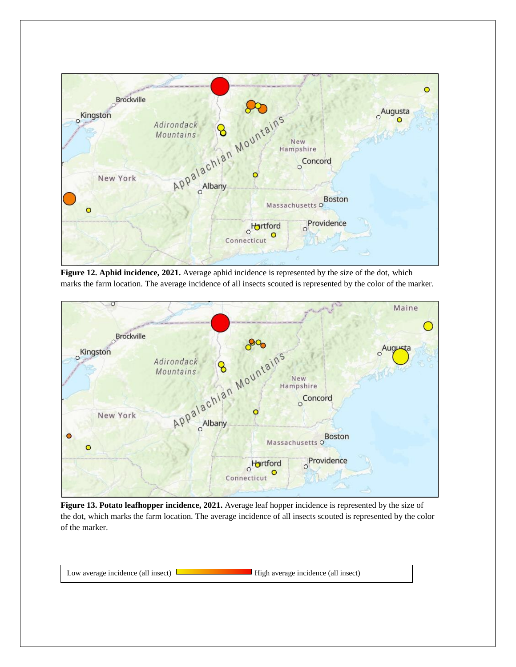

**Figure 12. Aphid incidence, 2021.** Average aphid incidence is represented by the size of the dot, which marks the farm location. The average incidence of all insects scouted is represented by the color of the marker.



**Figure 13. Potato leafhopper incidence, 2021.** Average leaf hopper incidence is represented by the size of the dot, which marks the farm location. The average incidence of all insects scouted is represented by the color of the marker.

Low average incidence (all insect)  $\Box$  High average incidence (all insect)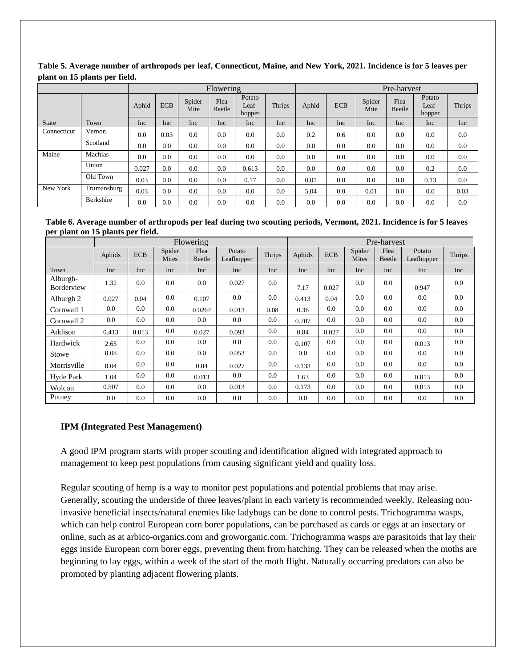|              |             | Flowering |            |                |                |                           |               |       | Pre-harvest |                |                |                           |               |  |
|--------------|-------------|-----------|------------|----------------|----------------|---------------------------|---------------|-------|-------------|----------------|----------------|---------------------------|---------------|--|
|              |             | Aphid     | <b>ECB</b> | Spider<br>Mite | Flea<br>Beetle | Potato<br>Leaf-<br>hopper | <b>Thrips</b> | Aphid | <b>ECB</b>  | Spider<br>Mite | Flea<br>Beetle | Potato<br>Leaf-<br>hopper | <b>Thrips</b> |  |
| <b>State</b> | Town        | Inc       | Inc        | Inc            | <b>Inc</b>     | Inc                       | Inc           | Inc   | <b>Inc</b>  | Inc            | Inc            | Inc                       | Inc           |  |
| Connecticut  | Vernon      | 0.0       | 0.03       | 0.0            | 0.0            | 0.0                       | 0.0           | 0.2   | 0.6         | 0.0            | 0.0            | 0.0                       | 0.0           |  |
|              | Scotland    | 0.0       | 0.0        | 0.0            | 0.0            | 0.0                       | 0.0           | 0.0   | 0.0         | 0.0            | 0.0            | 0.0                       | 0.0           |  |
| Maine        | Machias     | 0.0       | 0.0        | 0.0            | 0.0            | 0.0                       | 0.0           | 0.0   | 0.0         | 0.0            | 0.0            | 0.0                       | 0.0           |  |
|              | Union       | 0.027     | 0.0        | 0.0            | 0.0            | 0.613                     | 0.0           | 0.0   | 0.0         | 0.0            | 0.0            | 0.2                       | 0.0           |  |
|              | Old Town    | 0.03      | 0.0        | 0.0            | 0.0            | 0.17                      | 0.0           | 0.01  | 0.0         | 0.0            | 0.0            | 0.13                      | 0.0           |  |
| New York     | Trumansburg | 0.03      | 0.0        | 0.0            | 0.0            | 0.0                       | 0.0           | 5.04  | 0.0         | 0.01           | 0.0            | 0.0                       | 0.03          |  |
|              | Berkshire   | 0.0       | 0.0        | 0.0            | 0.0            | 0.0                       | 0.0           | 0.0   | 0.0         | 0.0            | 0.0            | 0.0                       | 0.0           |  |

**Table 5. Average number of arthropods per leaf, Connecticut, Maine, and New York, 2021. Incidence is for 5 leaves per plant on 15 plants per field.** 

**Table 6. Average number of arthropods per leaf during two scouting periods, Vermont, 2021. Incidence is for 5 leaves per plant on 15 plants per field.**

|                        |         |            |                        | Flowering      |                      | Pre-harvest   |        |            |                        |                |                      |         |
|------------------------|---------|------------|------------------------|----------------|----------------------|---------------|--------|------------|------------------------|----------------|----------------------|---------|
|                        | Aphids  | <b>ECB</b> | Spider<br><b>Mites</b> | Flea<br>Beetle | Potato<br>Leafhopper | <b>Thrips</b> | Aphids | <b>ECB</b> | Spider<br><b>Mites</b> | Flea<br>Beetle | Potato<br>Leafhopper | Thrips  |
| Town                   | Inc     | Inc        | Inc                    | Inc            | Inc                  | Inc           | Inc    | Inc        | Inc                    | Inc            | Inc                  | Inc     |
| Alburgh-<br>Borderview | 1.32    | 0.0        | 0.0                    | 0.0            | 0.027                | $0.0\,$       | 7.17   | 0.027      | 0.0                    | $0.0\,$        | 0.947                | 0.0     |
| Alburgh 2              | 0.027   | 0.04       | 0.0                    | 0.107          | $0.0\,$              | 0.0           | 0.413  | 0.04       | 0.0                    | 0.0            | 0.0                  | $0.0\,$ |
| Cornwall 1             | $0.0\,$ | $0.0\,$    | 0.0                    | 0.0267         | 0.013                | 0.08          | 0.36   | 0.0        | 0.0                    | $0.0\,$        | 0.0                  | 0.0     |
| Cornwall 2             | 0.0     | 0.0        | 0.0                    | 0.0            | $0.0\,$              | 0.0           | 0.707  | 0.0        | 0.0                    | 0.0            | 0.0                  | 0.0     |
| Addison                | 0.413   | 0.013      | 0.0                    | 0.027          | 0.093                | 0.0           | 0.84   | 0.027      | 0.0                    | $0.0\,$        | 0.0                  | 0.0     |
| Hardwick               | 2.65    | $0.0\,$    | 0.0                    | 0.0            | $0.0\,$              | 0.0           | 0.107  | 0.0        | 0.0                    | 0.0            | 0.013                | 0.0     |
| Stowe                  | 0.08    | 0.0        | 0.0                    | 0.0            | 0.053                | 0.0           | 0.0    | 0.0        | 0.0                    | 0.0            | 0.0                  | 0.0     |
| Morrisville            | 0.04    | $0.0\,$    | 0.0                    | 0.04           | 0.027                | 0.0           | 0.133  | 0.0        | 0.0                    | 0.0            | 0.0                  | 0.0     |
| Hyde Park              | 1.04    | $0.0\,$    | 0.0                    | 0.013          | $0.0\,$              | 0.0           | 1.63   | 0.0        | 0.0                    | 0.0            | 0.013                | 0.0     |
| Wolcott                | 0.507   | 0.0        | 0.0                    | 0.0            | 0.013                | 0.0           | 0.173  | 0.0        | 0.0                    | 0.0            | 0.013                | 0.0     |
| Putney                 | 0.0     | 0.0        | 0.0                    | 0.0            | 0.0                  | $0.0\,$       | 0.0    | 0.0        | 0.0                    | 0.0            | 0.0                  | 0.0     |

## **IPM (Integrated Pest Management)**

A good IPM program starts with proper scouting and identification aligned with integrated approach to management to keep pest populations from causing significant yield and quality loss.

Regular scouting of hemp is a way to monitor pest populations and potential problems that may arise. Generally, scouting the underside of three leaves/plant in each variety is recommended weekly. Releasing noninvasive beneficial insects/natural enemies like ladybugs can be done to control pests. Trichogramma wasps, which can help control European corn borer populations, can be purchased as cards or eggs at an insectary or online, such as at arbico-organics.com and groworganic.com. Trichogramma wasps are parasitoids that lay their eggs inside European corn borer eggs, preventing them from hatching. They can be released when the moths are beginning to lay eggs, within a week of the start of the moth flight. Naturally occurring predators can also be promoted by planting adjacent flowering plants.